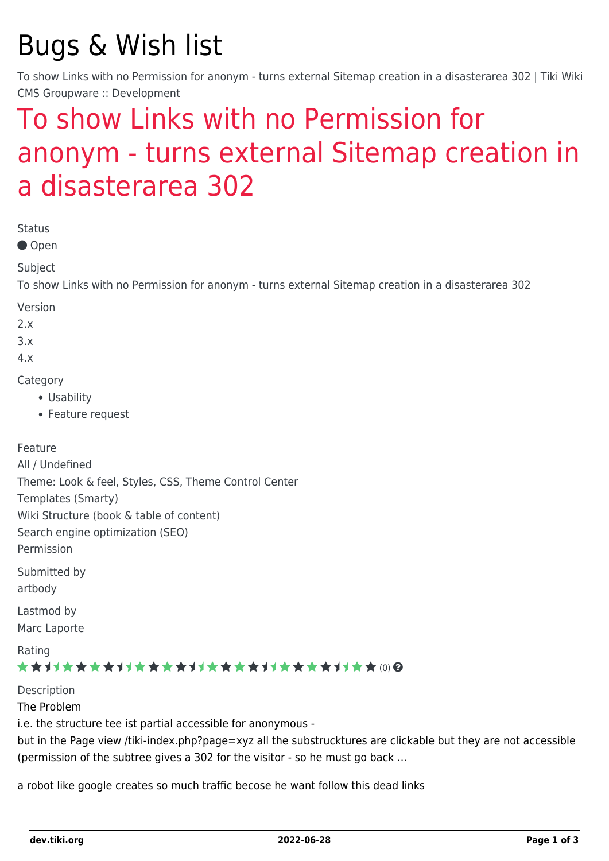# Bugs & Wish list

To show Links with no Permission for anonym - turns external Sitemap creation in a disasterarea 302 | Tiki Wiki CMS Groupware :: Development

## [To show Links with no Permission for](https://dev.tiki.org/item2402-To-show-Links-with-no-Permission-for-anonym-turns-external-Sitemap-creation-in-a-disasterarea-302) [anonym - turns external Sitemap creation in](https://dev.tiki.org/item2402-To-show-Links-with-no-Permission-for-anonym-turns-external-Sitemap-creation-in-a-disasterarea-302) [a disasterarea 302](https://dev.tiki.org/item2402-To-show-Links-with-no-Permission-for-anonym-turns-external-Sitemap-creation-in-a-disasterarea-302)

Status

● Open

Subject

To show Links with no Permission for anonym - turns external Sitemap creation in a disasterarea 302

Version

 $2x$ 

3.x

4.x

Category

- Usability
- Feature request

Feature

All / Undefined Theme: Look & feel, Styles, CSS, Theme Control Center Templates (Smarty) Wiki Structure (book & table of content) Search engine optimization (SEO) Permission Submitted by artbody

Lastmod by Marc Laporte

Rating

#### \*\*\*\*\*\*\*\*\*\*\*\*\*\*\*\*\*\*\*\*\*\*\*\*\*\*\*\*\*\*\*

Description The Problem i.e. the structure tee ist partial accessible for anonymous but in the Page view /tiki-index.php?page=xyz all the substrucktures are clickable but they are not accessible (permission of the subtree gives a 302 for the visitor - so he must go back ...

a robot like google creates so much traffic becose he want follow this dead links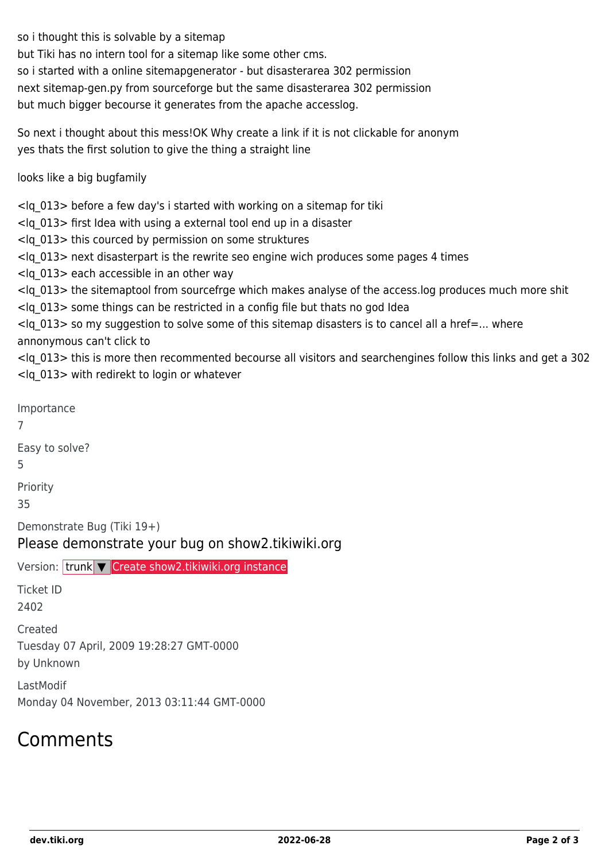so i thought this is solvable by a sitemap

but Tiki has no intern tool for a sitemap like some other cms.

so i started with a online sitemapgenerator - but disasterarea 302 permission

next sitemap-gen.py from sourceforge but the same disasterarea 302 permission

but much bigger becourse it generates from the apache accesslog.

So next i thought about this mess!OK Why create a link if it is not clickable for anonym yes thats the first solution to give the thing a straight line

looks like a big bugfamily

<lq\_013> before a few day's i started with working on a sitemap for tiki

<lq\_013> first Idea with using a external tool end up in a disaster

<lq\_013> this courced by permission on some struktures

<lq\_013> next disasterpart is the rewrite seo engine wich produces some pages 4 times

<lq\_013> each accessible in an other way

<lq\_013> the sitemaptool from sourcefrge which makes analyse of the access.log produces much more shit

<lq\_013> some things can be restricted in a config file but thats no god Idea

 $\langle$ lq 013> so my suggestion to solve some of this sitemap disasters is to cancel all a href=... where annonymous can't click to

<lq\_013> this is more then recommented becourse all visitors and searchengines follow this links and get a 302 <lq\_013> with redirekt to login or whatever

Importance 7 Easy to solve? 5 Priority 35 Demonstrate Bug (Tiki 19+) Please demonstrate your bug on show2.tikiwiki.org Version: trunk ▼ [Create show2.tikiwiki.org instance](#page--1-0) Ticket ID 2402 Created Tuesday 07 April, 2009 19:28:27 GMT-0000 by Unknown LastModif

Monday 04 November, 2013 03:11:44 GMT-0000

### Comments